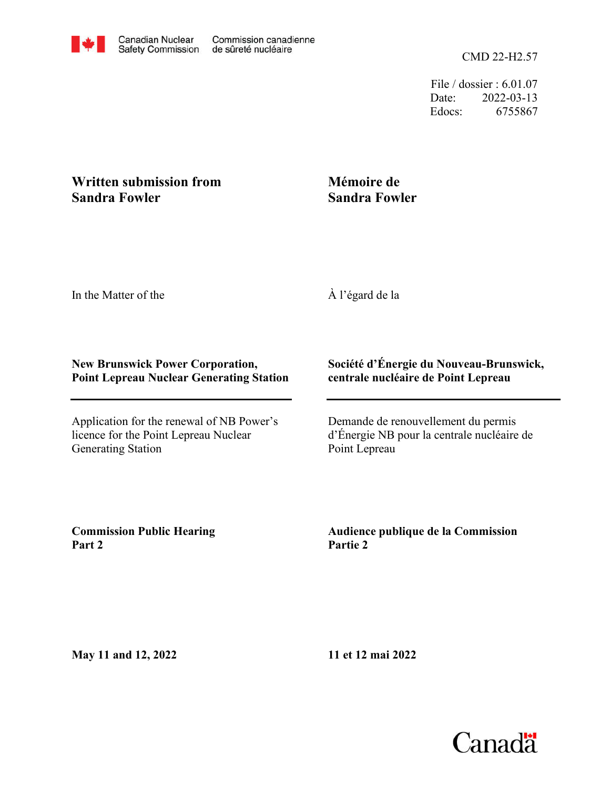File / dossier : 6.01.07 Date: 2022-03-13 Edocs: 6755867

## **Written submission from Sandra Fowler**

## **Mémoire de Sandra Fowler**

In the Matter of the

À l'égard de la

## **New Brunswick Power Corporation, Point Lepreau Nuclear Generating Station**

Application for the renewal of NB Power's licence for the Point Lepreau Nuclear Generating Station

## **Société d'Énergie du Nouveau-Brunswick, centrale nucléaire de Point Lepreau**

Demande de renouvellement du permis d'Énergie NB pour la centrale nucléaire de Point Lepreau

**Commission Public Hearing Part 2**

**Audience publique de la Commission Partie 2**

**May 11 and 12, 2022**

**11 et 12 mai 2022**